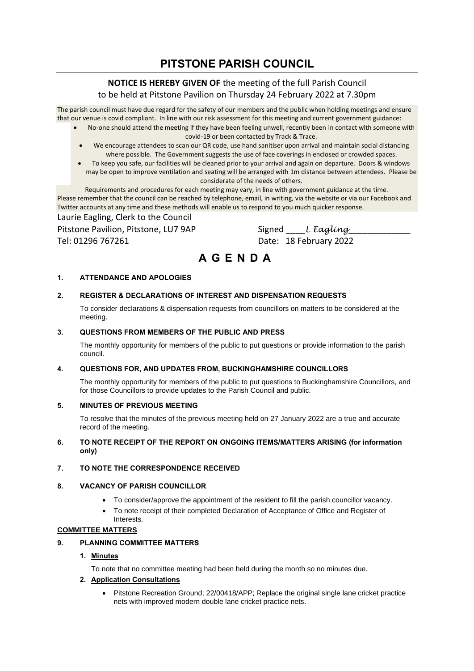## **PITSTONE PARISH COUNCIL**

## **NOTICE IS HEREBY GIVEN OF** the meeting of the full Parish Council

to be held at Pitstone Pavilion on Thursday 24 February 2022 at 7.30pm

The parish council must have due regard for the safety of our members and the public when holding meetings and ensure that our venue is covid compliant. In line with our risk assessment for this meeting and current government guidance:

- No-one should attend the meeting if they have been feeling unwell, recently been in contact with someone with covid-19 or been contacted by Track & Trace.
	- We encourage attendees to scan our QR code, use hand sanitiser upon arrival and maintain social distancing where possible. The Government suggests the use of face coverings in enclosed or crowded spaces.
	- To keep you safe, our facilities will be cleaned prior to your arrival and again on departure. Doors & windows may be open to improve ventilation and seating will be arranged with 1m distance between attendees. Please be considerate of the needs of others.

Requirements and procedures for each meeting may vary, in line with government guidance at the time. Please remember that the council can be reached by telephone, email, in writing, via the website or via our Facebook and Twitter accounts at any time and these methods will enable us to respond to you much quicker response.

Laurie Eagling, Clerk to the Council

Pitstone Pavilion, Pitstone, LU7 9AP Signed \_\_\_\_*L Eagling*\_\_\_\_\_\_\_\_\_\_\_\_\_ Tel: 01296 767261 Date: 18 February 2022

# **A G E N D A**

## **1. ATTENDANCE AND APOLOGIES**

## **2. REGISTER & DECLARATIONS OF INTEREST AND DISPENSATION REQUESTS**

To consider declarations & dispensation requests from councillors on matters to be considered at the meeting.

## **3. QUESTIONS FROM MEMBERS OF THE PUBLIC AND PRESS**

The monthly opportunity for members of the public to put questions or provide information to the parish council.

## **4. QUESTIONS FOR, AND UPDATES FROM, BUCKINGHAMSHIRE COUNCILLORS**

The monthly opportunity for members of the public to put questions to Buckinghamshire Councillors, and for those Councillors to provide updates to the Parish Council and public.

## **5. MINUTES OF PREVIOUS MEETING**

To resolve that the minutes of the previous meeting held on 27 January 2022 are a true and accurate record of the meeting.

## **6. TO NOTE RECEIPT OF THE REPORT ON ONGOING ITEMS/MATTERS ARISING (for information only)**

## **7. TO NOTE THE CORRESPONDENCE RECEIVED**

## **8. VACANCY OF PARISH COUNCILLOR**

- To consider/approve the appointment of the resident to fill the parish councillor vacancy.
- To note receipt of their completed Declaration of Acceptance of Office and Register of Interests.

## **COMMITTEE MATTERS**

## **9. PLANNING COMMITTEE MATTERS**

## **1. Minutes**

To note that no committee meeting had been held during the month so no minutes due.

## **2. Application Consultations**

• Pitstone Recreation Ground; 22/00418/APP; [Replace the original single lane cricket practice](https://publicaccess.aylesburyvaledc.gov.uk/online-applications/applicationDetails.do?activeTab=summary&keyVal=R6Z90ICLMFD00&prevPage=inTray)  [nets with improved modern double lane cricket practice nets.](https://publicaccess.aylesburyvaledc.gov.uk/online-applications/applicationDetails.do?activeTab=summary&keyVal=R6Z90ICLMFD00&prevPage=inTray)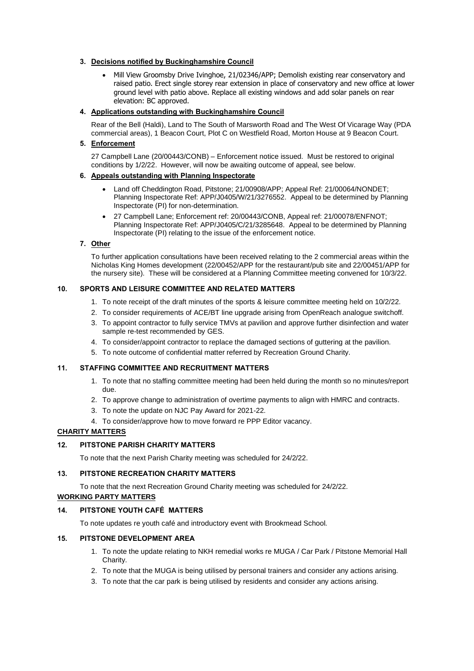## **3. Decisions notified by Buckinghamshire Council**

• Mill View Groomsby Drive Ivinghoe, 21/02346/APP; Demolish existing rear conservatory and raised patio. Erect single storey rear extension in place of conservatory and new office at lower ground level with patio above. Replace all existing windows and add solar panels on rear elevation: BC approved.

## **4. Applications outstanding with Buckinghamshire Council**

Rear of the Bell (Haldi), Land to The South of Marsworth Road and The West Of Vicarage Way (PDA commercial areas), 1 Beacon Court, Plot C on Westfield Road, Morton House at 9 Beacon Court.

## **5. Enforcement**

27 Campbell Lane (20/00443/CONB) – Enforcement notice issued. Must be restored to original conditions by 1/2/22. However, will now be awaiting outcome of appeal, see below.

## **6. Appeals outstanding with Planning Inspectorate**

- Land off Cheddington Road, Pitstone; 21/00908/APP; Appeal Ref: 21/00064/NONDET; Planning Inspectorate Ref: APP/J0405/W/21/3276552. Appeal to be determined by Planning Inspectorate (PI) for non-determination.
- 27 Campbell Lane; Enforcement ref: 20/00443/CONB, Appeal ref: 21/00078/ENFNOT; Planning Inspectorate Ref: APP/J0405/C/21/3285648. Appeal to be determined by Planning Inspectorate (PI) relating to the issue of the enforcement notice.

## **7. Other**

To further application consultations have been received relating to the 2 commercial areas within the Nicholas King Homes development (22/00452/APP for the restaurant/pub site and 22/00451/APP for the nursery site). These will be considered at a Planning Committee meeting convened for 10/3/22.

## **10. SPORTS AND LEISURE COMMITTEE AND RELATED MATTERS**

- 1. To note receipt of the draft minutes of the sports & leisure committee meeting held on 10/2/22.
- 2. To consider requirements of ACE/BT line upgrade arising from OpenReach analogue switchoff.
- 3. To appoint contractor to fully service TMVs at pavilion and approve further disinfection and water sample re-test recommended by GES.
- 4. To consider/appoint contractor to replace the damaged sections of guttering at the pavilion.
- 5. To note outcome of confidential matter referred by Recreation Ground Charity.

## **11. STAFFING COMMITTEE AND RECRUITMENT MATTERS**

- 1. To note that no staffing committee meeting had been held during the month so no minutes/report due.
- 2. To approve change to administration of overtime payments to align with HMRC and contracts.
- 3. To note the update on NJC Pay Award for 2021-22.
- 4. To consider/approve how to move forward re PPP Editor vacancy.

## **CHARITY MATTERS**

## **12. PITSTONE PARISH CHARITY MATTERS**

To note that the next Parish Charity meeting was scheduled for 24/2/22.

## **13. PITSTONE RECREATION CHARITY MATTERS**

To note that the next Recreation Ground Charity meeting was scheduled for 24/2/22.

## **WORKING PARTY MATTERS**

## **14. PITSTONE YOUTH CAFÉ MATTERS**

To note updates re youth café and introductory event with Brookmead School.

## **15. PITSTONE DEVELOPMENT AREA**

- 1. To note the update relating to NKH remedial works re MUGA / Car Park / Pitstone Memorial Hall Charity.
- 2. To note that the MUGA is being utilised by personal trainers and consider any actions arising.
- 3. To note that the car park is being utilised by residents and consider any actions arising.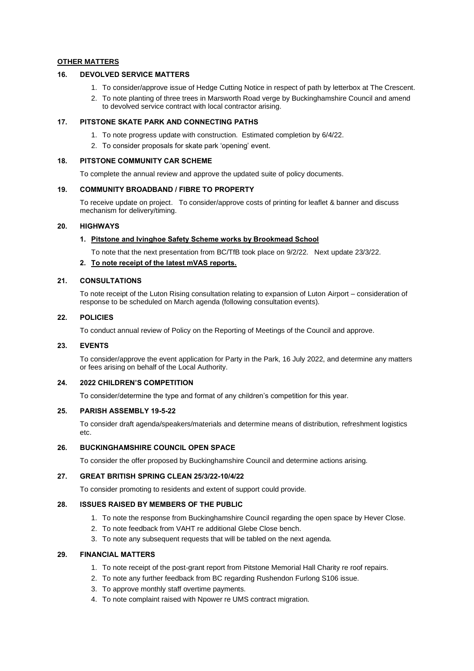#### **OTHER MATTERS**

## **16. DEVOLVED SERVICE MATTERS**

- 1. To consider/approve issue of Hedge Cutting Notice in respect of path by letterbox at The Crescent.
- 2. To note planting of three trees in Marsworth Road verge by Buckinghamshire Council and amend to devolved service contract with local contractor arising.

#### **17. PITSTONE SKATE PARK AND CONNECTING PATHS**

- 1. To note progress update with construction. Estimated completion by 6/4/22.
- 2. To consider proposals for skate park 'opening' event.

### **18. PITSTONE COMMUNITY CAR SCHEME**

To complete the annual review and approve the updated suite of policy documents.

#### **19. COMMUNITY BROADBAND / FIBRE TO PROPERTY**

To receive update on project. To consider/approve costs of printing for leaflet & banner and discuss mechanism for delivery/timing.

#### **20. HIGHWAYS**

### **1. Pitstone and Ivinghoe Safety Scheme works by Brookmead School**

To note that the next presentation from BC/TfB took place on 9/2/22. Next update 23/3/22.

#### **2. To note receipt of the latest mVAS reports.**

#### **21. CONSULTATIONS**

To note receipt of the Luton Rising consultation relating to expansion of Luton Airport – consideration of response to be scheduled on March agenda (following consultation events).

## **22. POLICIES**

To conduct annual review of Policy on the Reporting of Meetings of the Council and approve.

#### **23. EVENTS**

To consider/approve the event application for Party in the Park, 16 July 2022, and determine any matters or fees arising on behalf of the Local Authority.

#### **24. 2022 CHILDREN'S COMPETITION**

To consider/determine the type and format of any children's competition for this year.

#### **25. PARISH ASSEMBLY 19-5-22**

To consider draft agenda/speakers/materials and determine means of distribution, refreshment logistics etc.

#### **26. BUCKINGHAMSHIRE COUNCIL OPEN SPACE**

To consider the offer proposed by Buckinghamshire Council and determine actions arising.

#### **27. GREAT BRITISH SPRING CLEAN 25/3/22-10/4/22**

To consider promoting to residents and extent of support could provide.

## **28. ISSUES RAISED BY MEMBERS OF THE PUBLIC**

- 1. To note the response from Buckinghamshire Council regarding the open space by Hever Close.
- 2. To note feedback from VAHT re additional Glebe Close bench.
- 3. To note any subsequent requests that will be tabled on the next agenda.

### **29. FINANCIAL MATTERS**

- 1. To note receipt of the post-grant report from Pitstone Memorial Hall Charity re roof repairs.
- 2. To note any further feedback from BC regarding Rushendon Furlong S106 issue.
- 3. To approve monthly staff overtime payments.
- 4. To note complaint raised with Npower re UMS contract migration.